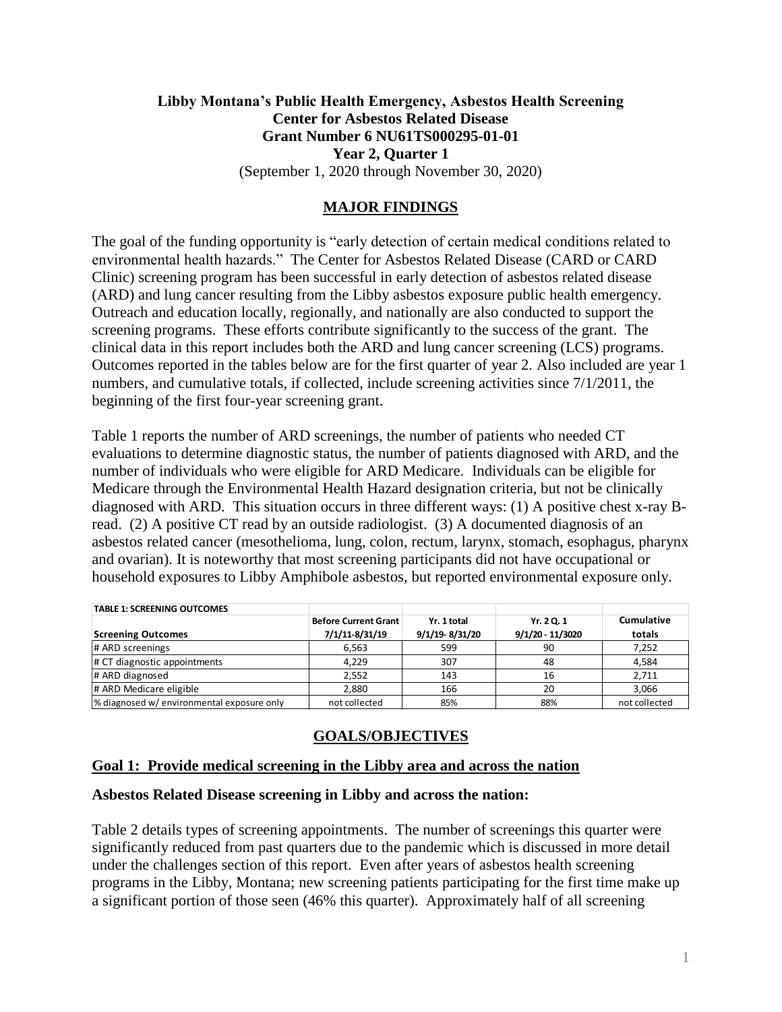# **Libby Montana's Public Health Emergency, Asbestos Health Screening Center for Asbestos Related Disease Grant Number 6 NU61TS000295-01-01 Year 2, Quarter 1** (September 1, 2020 through November 30, 2020)

# **MAJOR FINDINGS**

The goal of the funding opportunity is "early detection of certain medical conditions related to environmental health hazards." The Center for Asbestos Related Disease (CARD or CARD Clinic) screening program has been successful in early detection of asbestos related disease (ARD) and lung cancer resulting from the Libby asbestos exposure public health emergency. Outreach and education locally, regionally, and nationally are also conducted to support the screening programs. These efforts contribute significantly to the success of the grant. The clinical data in this report includes both the ARD and lung cancer screening (LCS) programs. Outcomes reported in the tables below are for the first quarter of year 2. Also included are year 1 numbers, and cumulative totals, if collected, include screening activities since 7/1/2011, the beginning of the first four-year screening grant.

Table 1 reports the number of ARD screenings, the number of patients who needed CT evaluations to determine diagnostic status, the number of patients diagnosed with ARD, and the number of individuals who were eligible for ARD Medicare. Individuals can be eligible for Medicare through the Environmental Health Hazard designation criteria, but not be clinically diagnosed with ARD. This situation occurs in three different ways: (1) A positive chest x-ray Bread. (2) A positive CT read by an outside radiologist. (3) A documented diagnosis of an asbestos related cancer (mesothelioma, lung, colon, rectum, larynx, stomach, esophagus, pharynx and ovarian). It is noteworthy that most screening participants did not have occupational or household exposures to Libby Amphibole asbestos, but reported environmental exposure only.

| <b>TABLE 1: SCREENING OUTCOMES</b>         |                             |                |                  |                   |
|--------------------------------------------|-----------------------------|----------------|------------------|-------------------|
|                                            | <b>Before Current Grant</b> | Yr. 1 total    | Yr. 20.1         | <b>Cumulative</b> |
| <b>Screening Outcomes</b>                  | 7/1/11-8/31/19              | 9/1/19-8/31/20 | 9/1/20 - 11/3020 | totals            |
| # ARD screenings                           | 6.563                       | 599            | 90               | 7,252             |
| # CT diagnostic appointments               | 4.229                       | 307            | 48               | 4,584             |
| # ARD diagnosed                            | 2.552                       | 143            | 16               | 2,711             |
| # ARD Medicare eligible                    | 2,880                       | 166            | 20               | 3,066             |
| % diagnosed w/ environmental exposure only | not collected               | 85%            | 88%              | not collected     |

# **GOALS/OBJECTIVES**

## **Goal 1: Provide medical screening in the Libby area and across the nation**

#### **Asbestos Related Disease screening in Libby and across the nation:**

Table 2 details types of screening appointments. The number of screenings this quarter were significantly reduced from past quarters due to the pandemic which is discussed in more detail under the challenges section of this report. Even after years of asbestos health screening programs in the Libby, Montana; new screening patients participating for the first time make up a significant portion of those seen (46% this quarter). Approximately half of all screening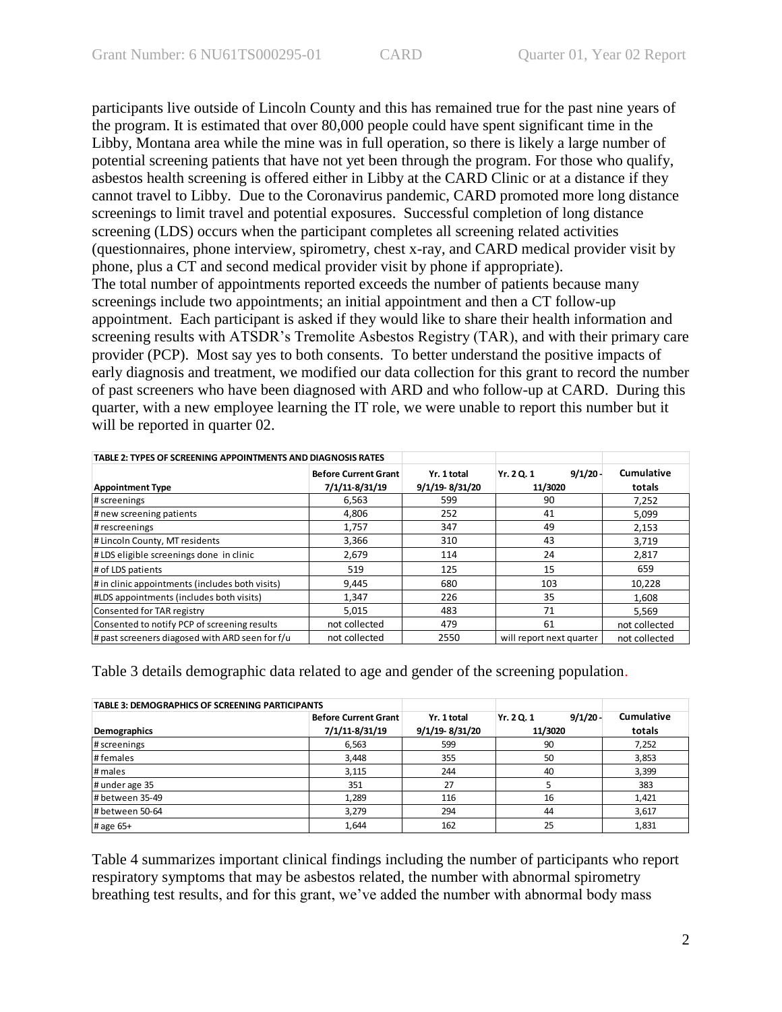participants live outside of Lincoln County and this has remained true for the past nine years of the program. It is estimated that over 80,000 people could have spent significant time in the Libby, Montana area while the mine was in full operation, so there is likely a large number of potential screening patients that have not yet been through the program. For those who qualify, asbestos health screening is offered either in Libby at the CARD Clinic or at a distance if they cannot travel to Libby. Due to the Coronavirus pandemic, CARD promoted more long distance screenings to limit travel and potential exposures. Successful completion of long distance screening (LDS) occurs when the participant completes all screening related activities (questionnaires, phone interview, spirometry, chest x-ray, and CARD medical provider visit by phone, plus a CT and second medical provider visit by phone if appropriate). The total number of appointments reported exceeds the number of patients because many screenings include two appointments; an initial appointment and then a CT follow-up appointment. Each participant is asked if they would like to share their health information and screening results with ATSDR's Tremolite Asbestos Registry (TAR), and with their primary care provider (PCP). Most say yes to both consents. To better understand the positive impacts of early diagnosis and treatment, we modified our data collection for this grant to record the number of past screeners who have been diagnosed with ARD and who follow-up at CARD. During this quarter, with a new employee learning the IT role, we were unable to report this number but it will be reported in quarter 02.

| TABLE 2: TYPES OF SCREENING APPOINTMENTS AND DIAGNOSIS RATES |                             |                |                          |               |
|--------------------------------------------------------------|-----------------------------|----------------|--------------------------|---------------|
|                                                              | <b>Before Current Grant</b> | Yr. 1 total    | 9/1/20<br>Yr. 2 Q. 1     | Cumulative    |
| <b>Appointment Type</b>                                      | 7/1/11-8/31/19              | 9/1/19-8/31/20 | 11/3020                  | totals        |
| # screenings                                                 | 6,563                       | 599            | 90                       | 7,252         |
| # new screening patients                                     | 4,806                       | 252            | 41                       | 5,099         |
| # rescreenings                                               | 1,757                       | 347            | 49                       | 2,153         |
| # Lincoln County, MT residents                               | 3,366                       | 310            | 43                       | 3,719         |
| #LDS eligible screenings done in clinic                      | 2,679                       | 114            | 24                       | 2,817         |
| # of LDS patients                                            | 519                         | 125            | 15                       | 659           |
| # in clinic appointments (includes both visits)              | 9,445                       | 680            | 103                      | 10,228        |
| #LDS appointments (includes both visits)                     | 1,347                       | 226            | 35                       | 1,608         |
| Consented for TAR registry                                   | 5,015                       | 483            | 71                       | 5.569         |
| Consented to notify PCP of screening results                 | not collected               | 479            | 61                       | not collected |
| # past screeners diagosed with ARD seen for f/u              | not collected               | 2550           | will report next quarter | not collected |

Table 3 details demographic data related to age and gender of the screening population.

| <b>TABLE 3: DEMOGRAPHICS OF SCREENING PARTICIPANTS</b> |                             |                |                          |                   |
|--------------------------------------------------------|-----------------------------|----------------|--------------------------|-------------------|
|                                                        | <b>Before Current Grant</b> | Yr. 1 total    | $9/1/20 -$<br>Yr. 2 Q. 1 | <b>Cumulative</b> |
| Demographics                                           | 7/1/11-8/31/19              | 9/1/19 8/31/20 | 11/3020                  | totals            |
| # screenings                                           | 6.563                       | 599            | 90                       | 7,252             |
| #females                                               | 3,448                       | 355            | 50                       | 3,853             |
| # males                                                | 3,115                       | 244<br>40      |                          | 3,399             |
| # under age 35                                         | 351                         | 27             |                          | 383               |
| # between 35-49                                        | 1,289                       | 116            | 16                       | 1,421             |
| # between 50-64                                        | 3,279                       | 294            | 44                       | 3,617             |
| # age 65+                                              | 1,644                       | 162            | 25                       | 1,831             |

Table 4 summarizes important clinical findings including the number of participants who report respiratory symptoms that may be asbestos related, the number with abnormal spirometry breathing test results, and for this grant, we've added the number with abnormal body mass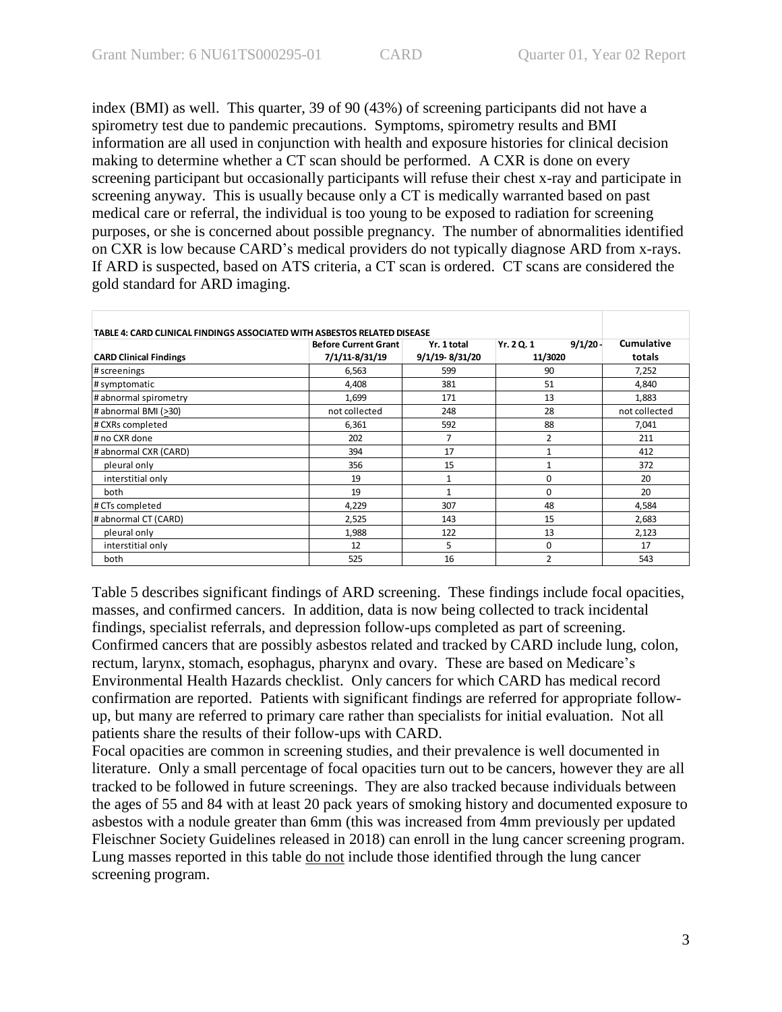index (BMI) as well. This quarter, 39 of 90 (43%) of screening participants did not have a spirometry test due to pandemic precautions. Symptoms, spirometry results and BMI information are all used in conjunction with health and exposure histories for clinical decision making to determine whether a CT scan should be performed. A CXR is done on every screening participant but occasionally participants will refuse their chest x-ray and participate in screening anyway. This is usually because only a CT is medically warranted based on past medical care or referral, the individual is too young to be exposed to radiation for screening purposes, or she is concerned about possible pregnancy. The number of abnormalities identified on CXR is low because CARD's medical providers do not typically diagnose ARD from x-rays. If ARD is suspected, based on ATS criteria, a CT scan is ordered. CT scans are considered the gold standard for ARD imaging.

| TABLE 4: CARD CLINICAL FINDINGS ASSOCIATED WITH ASBESTOS RELATED DISEASE |                             |                |                      | Cumulative    |
|--------------------------------------------------------------------------|-----------------------------|----------------|----------------------|---------------|
|                                                                          | <b>Before Current Grant</b> | Yr. 1 total    | 9/1/20<br>Yr. 2 Q. 1 |               |
| <b>CARD Clinical Findings</b>                                            | 7/1/11-8/31/19              | 9/1/19-8/31/20 | 11/3020              | totals        |
| # screenings                                                             | 6,563                       | 599            | 90                   | 7,252         |
| # symptomatic                                                            | 4,408                       | 381            | 51                   | 4,840         |
| # abnormal spirometry                                                    | 1,699                       | 171            | 13                   | 1,883         |
| # abnormal BMI (>30)                                                     | not collected               | 248            | 28                   | not collected |
| # CXRs completed                                                         | 6,361                       | 592            | 88                   |               |
| # no CXR done                                                            | 202                         | 7              | $\overline{2}$       |               |
| # abnormal CXR (CARD)                                                    | 394                         | 17             |                      | 412           |
| pleural only                                                             | 356                         | 15             | 1                    | 372           |
| interstitial only                                                        | 19                          | $\mathbf{1}$   | $\Omega$             | 20            |
| both                                                                     | 19                          | $\mathbf{1}$   | $\Omega$             | 20            |
| # CTs completed                                                          | 4,229                       | 307            | 48                   | 4,584         |
| # abnormal CT (CARD)                                                     | 2,525                       | 143            | 15                   | 2,683         |
| pleural only                                                             | 1,988                       | 122            | 13                   | 2,123         |
| interstitial only                                                        | 12                          | 5<br>$\Omega$  |                      | 17            |
| both                                                                     | 525                         | 16             | 2                    | 543           |

Table 5 describes significant findings of ARD screening. These findings include focal opacities, masses, and confirmed cancers. In addition, data is now being collected to track incidental findings, specialist referrals, and depression follow-ups completed as part of screening. Confirmed cancers that are possibly asbestos related and tracked by CARD include lung, colon, rectum, larynx, stomach, esophagus, pharynx and ovary. These are based on Medicare's Environmental Health Hazards checklist. Only cancers for which CARD has medical record confirmation are reported. Patients with significant findings are referred for appropriate followup, but many are referred to primary care rather than specialists for initial evaluation. Not all patients share the results of their follow-ups with CARD.

Focal opacities are common in screening studies, and their prevalence is well documented in literature. Only a small percentage of focal opacities turn out to be cancers, however they are all tracked to be followed in future screenings. They are also tracked because individuals between the ages of 55 and 84 with at least 20 pack years of smoking history and documented exposure to asbestos with a nodule greater than 6mm (this was increased from 4mm previously per updated Fleischner Society Guidelines released in 2018) can enroll in the lung cancer screening program. Lung masses reported in this table do not include those identified through the lung cancer screening program.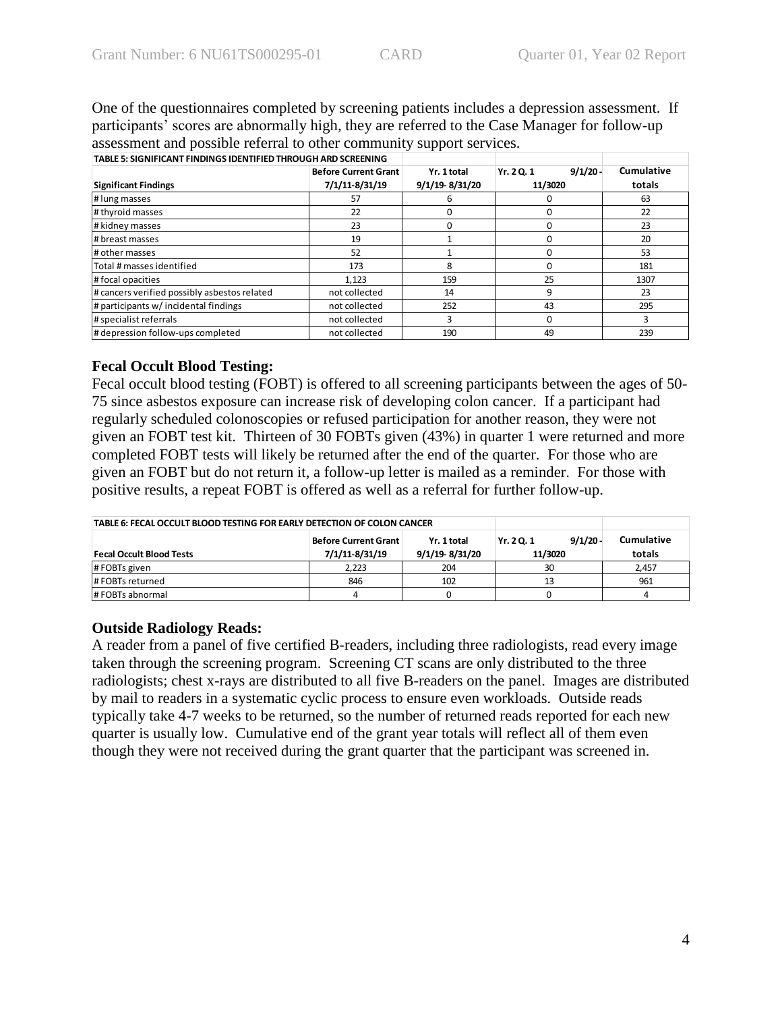One of the questionnaires completed by screening patients includes a depression assessment. If participants' scores are abnormally high, they are referred to the Case Manager for follow-up assessment and possible referral to other community support services.

| TABLE 5: SIGNIFICANT FINDINGS IDENTIFIED THROUGH ARD SCREENING |                             |                |                    |            |
|----------------------------------------------------------------|-----------------------------|----------------|--------------------|------------|
|                                                                | <b>Before Current Grant</b> | Yr. 1 total    | 9/1/20<br>Yr. 20.1 | Cumulative |
| <b>Significant Findings</b>                                    | 7/1/11-8/31/19              | 9/1/19-8/31/20 | 11/3020            | totals     |
| # lung masses                                                  | 57                          |                |                    | 63         |
| # thyroid masses                                               | 22                          |                |                    | 22         |
| # kidney masses                                                | 23                          |                |                    | 23         |
| # breast masses                                                | 19                          |                |                    | 20         |
| # other masses                                                 | 52                          |                |                    | 53         |
| Total # masses identified                                      | 173                         | 8              |                    | 181        |
| #focal opacities                                               | 1,123                       | 159            | 25                 | 1307       |
| # cancers verified possibly asbestos related                   | not collected               | 14             | q                  | 23         |
| # participants w/ incidental findings                          | not collected               | 252            | 43                 | 295        |
| # specialist referrals                                         | not collected               |                |                    | R          |
| # depression follow-ups completed                              | not collected               | 190            | 49                 | 239        |

# **Fecal Occult Blood Testing:**

Fecal occult blood testing (FOBT) is offered to all screening participants between the ages of 50- 75 since asbestos exposure can increase risk of developing colon cancer. If a participant had regularly scheduled colonoscopies or refused participation for another reason, they were not given an FOBT test kit. Thirteen of 30 FOBTs given (43%) in quarter 1 were returned and more completed FOBT tests will likely be returned after the end of the quarter. For those who are given an FOBT but do not return it, a follow-up letter is mailed as a reminder. For those with positive results, a repeat FOBT is offered as well as a referral for further follow-up.

| TABLE 6: FECAL OCCULT BLOOD TESTING FOR EARLY DETECTION OF COLON CANCER |                             |                    |            |        |
|-------------------------------------------------------------------------|-----------------------------|--------------------|------------|--------|
|                                                                         | <b>Before Current Grant</b> | 9/1/20<br>Yr. 20.1 | Cumulative |        |
| <b>Fecal Occult Blood Tests</b>                                         | 7/1/11-8/31/19              | 9/1/19-8/31/20     | 11/3020    | totals |
| #FOBTs given                                                            | 2.223<br>204                |                    | 30         | 2,457  |
| #FOBTs returned                                                         | 846                         | 102                | 13         | 961    |
| # FOBTs abnormal                                                        |                             |                    |            |        |

# **Outside Radiology Reads:**

A reader from a panel of five certified B-readers, including three radiologists, read every image taken through the screening program. Screening CT scans are only distributed to the three radiologists; chest x-rays are distributed to all five B-readers on the panel. Images are distributed by mail to readers in a systematic cyclic process to ensure even workloads. Outside reads typically take 4-7 weeks to be returned, so the number of returned reads reported for each new quarter is usually low. Cumulative end of the grant year totals will reflect all of them even though they were not received during the grant quarter that the participant was screened in.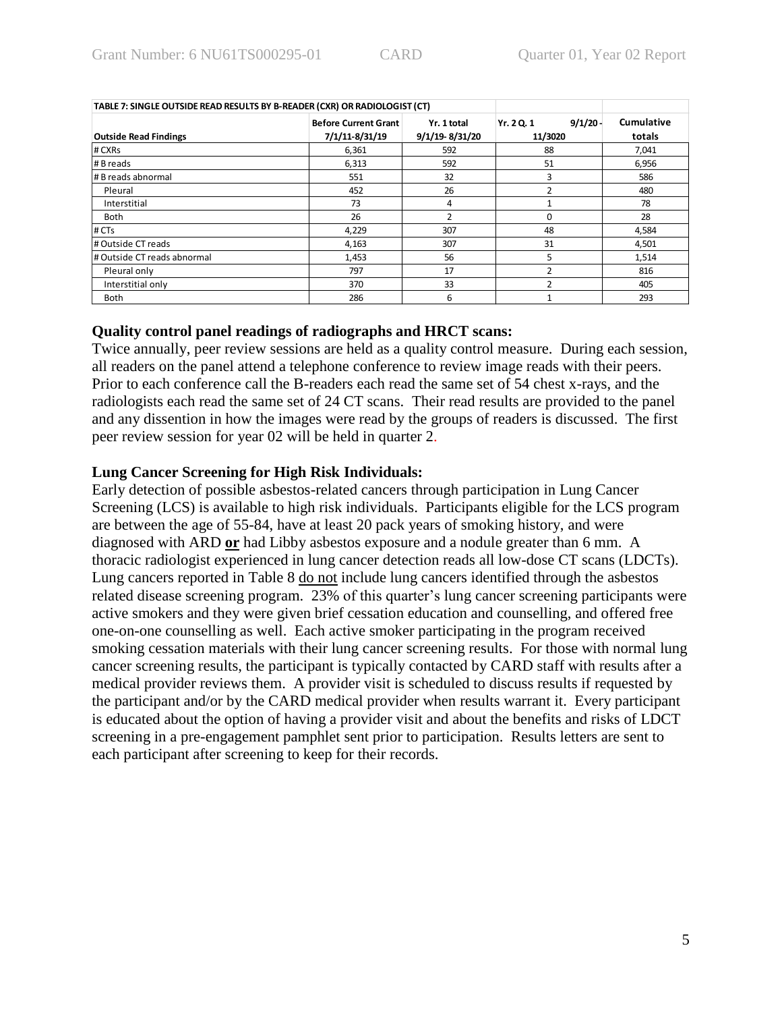| TABLE 7: SINGLE OUTSIDE READ RESULTS BY B-READER (CXR) OR RADIOLOGIST (CT) |                             |                |                      |            |
|----------------------------------------------------------------------------|-----------------------------|----------------|----------------------|------------|
|                                                                            | <b>Before Current Grant</b> | Yr. 1 total    | 9/1/20<br>Yr. 2 Q. 1 | Cumulative |
| <b>Outside Read Findings</b>                                               | 7/1/11-8/31/19              | 9/1/19-8/31/20 | 11/3020              | totals     |
| # CXRs                                                                     | 6,361                       | 592            | 88                   | 7,041      |
| # B reads                                                                  | 6,313                       | 592            | 51                   | 6,956      |
| # B reads abnormal                                                         | 551                         | 32             |                      | 586        |
| Pleural                                                                    | 452                         | 26             |                      | 480        |
| Interstitial                                                               | 73                          | 4              |                      | 78         |
| <b>Both</b>                                                                | 26                          | $\mathcal{P}$  | $\Omega$             | 28         |
| # CTs                                                                      | 4,229                       | 307            | 48                   | 4,584      |
| # Outside CT reads                                                         | 4,163                       | 307            | 31                   | 4,501      |
| # Outside CT reads abnormal                                                | 1,453                       | 56             |                      | 1,514      |
| Pleural only                                                               | 797                         | 17             |                      | 816        |
| Interstitial only                                                          | 370                         | 33             |                      | 405        |
| <b>Both</b>                                                                | 286                         | 6              |                      | 293        |

**Quality control panel readings of radiographs and HRCT scans:**

Twice annually, peer review sessions are held as a quality control measure. During each session, all readers on the panel attend a telephone conference to review image reads with their peers. Prior to each conference call the B-readers each read the same set of 54 chest x-rays, and the radiologists each read the same set of 24 CT scans. Their read results are provided to the panel and any dissention in how the images were read by the groups of readers is discussed. The first peer review session for year 02 will be held in quarter 2.

## **Lung Cancer Screening for High Risk Individuals:**

Early detection of possible asbestos-related cancers through participation in Lung Cancer Screening (LCS) is available to high risk individuals. Participants eligible for the LCS program are between the age of 55-84, have at least 20 pack years of smoking history, and were diagnosed with ARD **or** had Libby asbestos exposure and a nodule greater than 6 mm. A thoracic radiologist experienced in lung cancer detection reads all low-dose CT scans (LDCTs). Lung cancers reported in Table 8 do not include lung cancers identified through the asbestos related disease screening program. 23% of this quarter's lung cancer screening participants were active smokers and they were given brief cessation education and counselling, and offered free one-on-one counselling as well. Each active smoker participating in the program received smoking cessation materials with their lung cancer screening results. For those with normal lung cancer screening results, the participant is typically contacted by CARD staff with results after a medical provider reviews them. A provider visit is scheduled to discuss results if requested by the participant and/or by the CARD medical provider when results warrant it. Every participant is educated about the option of having a provider visit and about the benefits and risks of LDCT screening in a pre-engagement pamphlet sent prior to participation. Results letters are sent to each participant after screening to keep for their records.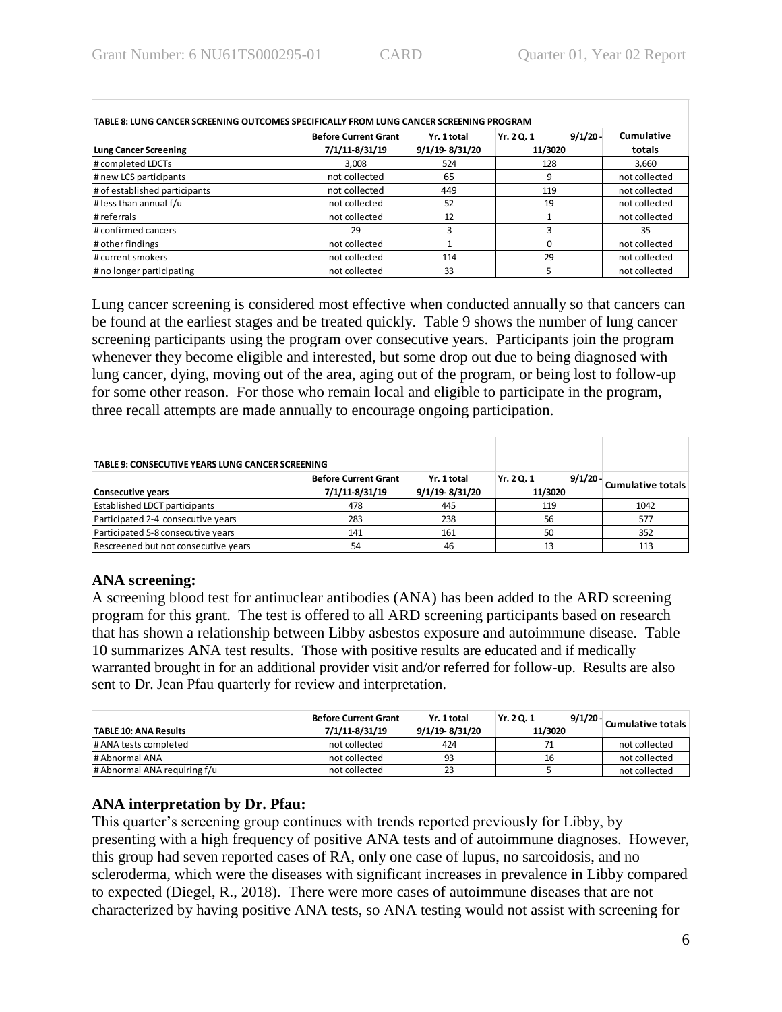| TABLE 8: LUNG CANCER SCREENING OUTCOMES SPECIFICALLY FROM LUNG CANCER SCREENING PROGRAM |                                                                    |                |            |               |  |  |
|-----------------------------------------------------------------------------------------|--------------------------------------------------------------------|----------------|------------|---------------|--|--|
|                                                                                         | 9/1/20<br><b>Before Current Grant</b><br>Yr. 2 Q. 1<br>Yr. 1 total |                | Cumulative |               |  |  |
| <b>Lung Cancer Screening</b>                                                            | 7/1/11-8/31/19                                                     | 9/1/19-8/31/20 | 11/3020    | totals        |  |  |
| # completed LDCTs                                                                       | 3,008                                                              | 524            | 128        | 3,660         |  |  |
| # new LCS participants                                                                  | not collected                                                      | 65             |            | not collected |  |  |
| # of established participants                                                           | not collected                                                      | 449            | 119        | not collected |  |  |
| # less than annual f/u                                                                  | not collected                                                      | 52<br>19       |            | not collected |  |  |
| # referrals                                                                             | not collected                                                      | 12             |            | not collected |  |  |
| # confirmed cancers                                                                     | 29                                                                 |                |            | 35            |  |  |
| # other findings                                                                        | not collected                                                      | ŋ              |            | not collected |  |  |
| # current smokers                                                                       | not collected                                                      | 29<br>114      |            | not collected |  |  |
| # no longer participating                                                               | not collected                                                      | 33             |            | not collected |  |  |

Lung cancer screening is considered most effective when conducted annually so that cancers can be found at the earliest stages and be treated quickly. Table 9 shows the number of lung cancer screening participants using the program over consecutive years. Participants join the program whenever they become eligible and interested, but some drop out due to being diagnosed with lung cancer, dying, moving out of the area, aging out of the program, or being lost to follow-up for some other reason. For those who remain local and eligible to participate in the program, three recall attempts are made annually to encourage ongoing participation.

| TABLE 9: CONSECUTIVE YEARS LUNG CANCER SCREENING                   |     |                               |                                 |                   |
|--------------------------------------------------------------------|-----|-------------------------------|---------------------------------|-------------------|
| <b>Before Current Grant</b><br>7/1/11-8/31/19<br>Consecutive years |     | Yr. 1 total<br>9/1/19 8/31/20 | 9/1/20<br>Yr. 2 Q. 1<br>11/3020 | Cumulative totals |
| <b>Established LDCT participants</b>                               | 478 | 445                           | 119                             | 1042              |
| Participated 2-4 consecutive years                                 | 283 | 238                           | 56                              | 577               |
| Participated 5-8 consecutive years                                 | 141 | 161                           | 50                              | 352               |
| Rescreened but not consecutive years                               | 54  | 46                            | 13                              | 113               |

# **ANA screening:**

A screening blood test for antinuclear antibodies (ANA) has been added to the ARD screening program for this grant. The test is offered to all ARD screening participants based on research that has shown a relationship between Libby asbestos exposure and autoimmune disease. Table 10 summarizes ANA test results. Those with positive results are educated and if medically warranted brought in for an additional provider visit and/or referred for follow-up. Results are also sent to Dr. Jean Pfau quarterly for review and interpretation.

| <b>TABLE 10: ANA Results</b> | ∣ Before Current Grant ∣<br>7/1/11-8/31/19 | Yr. 1 total<br>9/1/19-8/31/20 | Yr. 20.1<br>11/3020 | 9/1/20 | Cumulative totals |
|------------------------------|--------------------------------------------|-------------------------------|---------------------|--------|-------------------|
| # ANA tests completed        | not collected                              | 424                           |                     |        | not collected     |
| # Abnormal ANA               | not collected                              | 93                            | 16                  |        | not collected     |
| # Abnormal ANA requiring f/u | not collected                              | 23                            |                     |        | not collected     |

# **ANA interpretation by Dr. Pfau:**

This quarter's screening group continues with trends reported previously for Libby, by presenting with a high frequency of positive ANA tests and of autoimmune diagnoses. However, this group had seven reported cases of RA, only one case of lupus, no sarcoidosis, and no scleroderma, which were the diseases with significant increases in prevalence in Libby compared to expected (Diegel, R., 2018). There were more cases of autoimmune diseases that are not characterized by having positive ANA tests, so ANA testing would not assist with screening for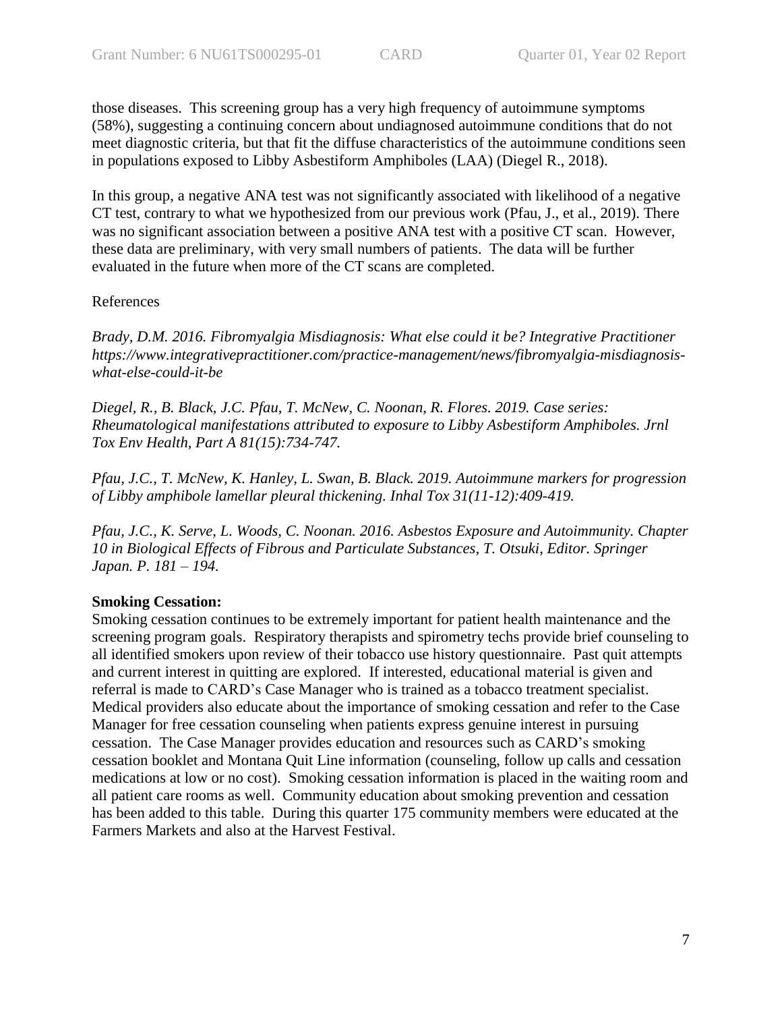those diseases. This screening group has a very high frequency of autoimmune symptoms (58%), suggesting a continuing concern about undiagnosed autoimmune conditions that do not meet diagnostic criteria, but that fit the diffuse characteristics of the autoimmune conditions seen in populations exposed to Libby Asbestiform Amphiboles (LAA) (Diegel R., 2018).

In this group, a negative ANA test was not significantly associated with likelihood of a negative CT test, contrary to what we hypothesized from our previous work (Pfau, J., et al., 2019). There was no significant association between a positive ANA test with a positive CT scan. However, these data are preliminary, with very small numbers of patients. The data will be further evaluated in the future when more of the CT scans are completed.

#### References

*Brady, D.M. 2016. Fibromyalgia Misdiagnosis: What else could it be? Integrative Practitioner https://www.integrativepractitioner.com/practice-management/news/fibromyalgia-misdiagnosiswhat-else-could-it-be*

*Diegel, R., B. Black, J.C. Pfau, T. McNew, C. Noonan, R. Flores. 2019. Case series: Rheumatological manifestations attributed to exposure to Libby Asbestiform Amphiboles. Jrnl Tox Env Health, Part A 81(15):734-747.*

*Pfau, J.C., T. McNew, K. Hanley, L. Swan, B. Black. 2019. Autoimmune markers for progression of Libby amphibole lamellar pleural thickening. Inhal Tox 31(11-12):409-419.*

*Pfau, J.C., K. Serve, L. Woods, C. Noonan. 2016. Asbestos Exposure and Autoimmunity. Chapter 10 in Biological Effects of Fibrous and Particulate Substances, T. Otsuki, Editor. Springer Japan. P. 181 – 194.*

## **Smoking Cessation:**

Smoking cessation continues to be extremely important for patient health maintenance and the screening program goals. Respiratory therapists and spirometry techs provide brief counseling to all identified smokers upon review of their tobacco use history questionnaire. Past quit attempts and current interest in quitting are explored. If interested, educational material is given and referral is made to CARD's Case Manager who is trained as a tobacco treatment specialist. Medical providers also educate about the importance of smoking cessation and refer to the Case Manager for free cessation counseling when patients express genuine interest in pursuing cessation. The Case Manager provides education and resources such as CARD's smoking cessation booklet and Montana Quit Line information (counseling, follow up calls and cessation medications at low or no cost). Smoking cessation information is placed in the waiting room and all patient care rooms as well. Community education about smoking prevention and cessation has been added to this table. During this quarter 175 community members were educated at the Farmers Markets and also at the Harvest Festival.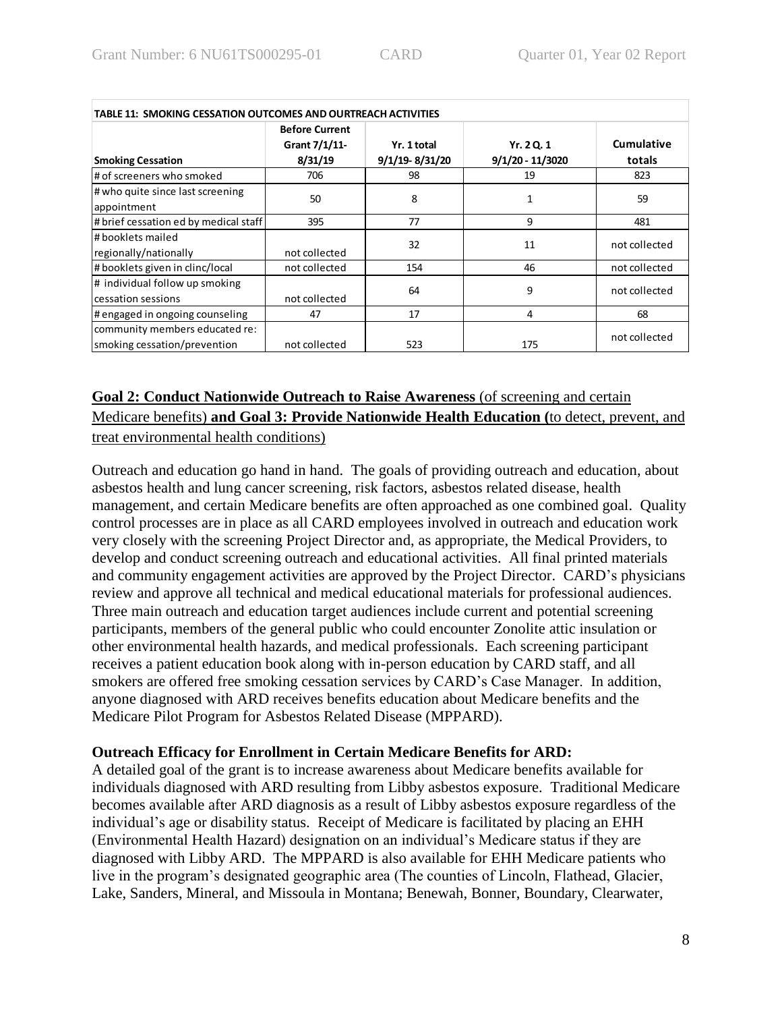| <b>TABLE 11: SMOKING CESSATION OUTCOMES AND OURTREACH ACTIVITIES</b> |                                                   |                               |                                  |               |  |
|----------------------------------------------------------------------|---------------------------------------------------|-------------------------------|----------------------------------|---------------|--|
|                                                                      | <b>Before Current</b><br>Grant 7/1/11-<br>8/31/19 | Yr. 1 total<br>9/1/19-8/31/20 | Yr. 2 Q. 1<br>$9/1/20 - 11/3020$ | Cumulative    |  |
| <b>Smoking Cessation</b>                                             |                                                   |                               |                                  | totals        |  |
| # of screeners who smoked                                            | 706                                               | 98                            | 19                               | 823           |  |
| # who quite since last screening                                     |                                                   |                               |                                  |               |  |
| appointment                                                          | 50                                                | 8                             | 1                                | 59            |  |
| # brief cessation ed by medical staff                                | 395                                               | 77                            | 9                                | 481           |  |
| # booklets mailed                                                    |                                                   | 32                            | 11                               | not collected |  |
| regionally/nationally                                                | not collected                                     |                               |                                  |               |  |
| # booklets given in clinc/local                                      | not collected                                     | 154                           | 46                               | not collected |  |
| # individual follow up smoking                                       |                                                   |                               | 9                                |               |  |
| cessation sessions                                                   | not collected                                     | 64                            |                                  | not collected |  |
| # engaged in ongoing counseling                                      | 47                                                | 17                            | 4                                | 68            |  |
| community members educated re:                                       |                                                   |                               |                                  | not collected |  |
| smoking cessation/prevention                                         | not collected                                     | 523                           | 175                              |               |  |

# **Goal 2: Conduct Nationwide Outreach to Raise Awareness** (of screening and certain Medicare benefits) **and Goal 3: Provide Nationwide Health Education (**to detect, prevent, and

treat environmental health conditions)

Outreach and education go hand in hand. The goals of providing outreach and education, about asbestos health and lung cancer screening, risk factors, asbestos related disease, health management, and certain Medicare benefits are often approached as one combined goal. Quality control processes are in place as all CARD employees involved in outreach and education work very closely with the screening Project Director and, as appropriate, the Medical Providers, to develop and conduct screening outreach and educational activities. All final printed materials and community engagement activities are approved by the Project Director. CARD's physicians review and approve all technical and medical educational materials for professional audiences. Three main outreach and education target audiences include current and potential screening participants, members of the general public who could encounter Zonolite attic insulation or other environmental health hazards, and medical professionals. Each screening participant receives a patient education book along with in-person education by CARD staff, and all smokers are offered free smoking cessation services by CARD's Case Manager. In addition, anyone diagnosed with ARD receives benefits education about Medicare benefits and the Medicare Pilot Program for Asbestos Related Disease (MPPARD).

# **Outreach Efficacy for Enrollment in Certain Medicare Benefits for ARD:**

A detailed goal of the grant is to increase awareness about Medicare benefits available for individuals diagnosed with ARD resulting from Libby asbestos exposure. Traditional Medicare becomes available after ARD diagnosis as a result of Libby asbestos exposure regardless of the individual's age or disability status. Receipt of Medicare is facilitated by placing an EHH (Environmental Health Hazard) designation on an individual's Medicare status if they are diagnosed with Libby ARD. The MPPARD is also available for EHH Medicare patients who live in the program's designated geographic area (The counties of Lincoln, Flathead, Glacier, Lake, Sanders, Mineral, and Missoula in Montana; Benewah, Bonner, Boundary, Clearwater,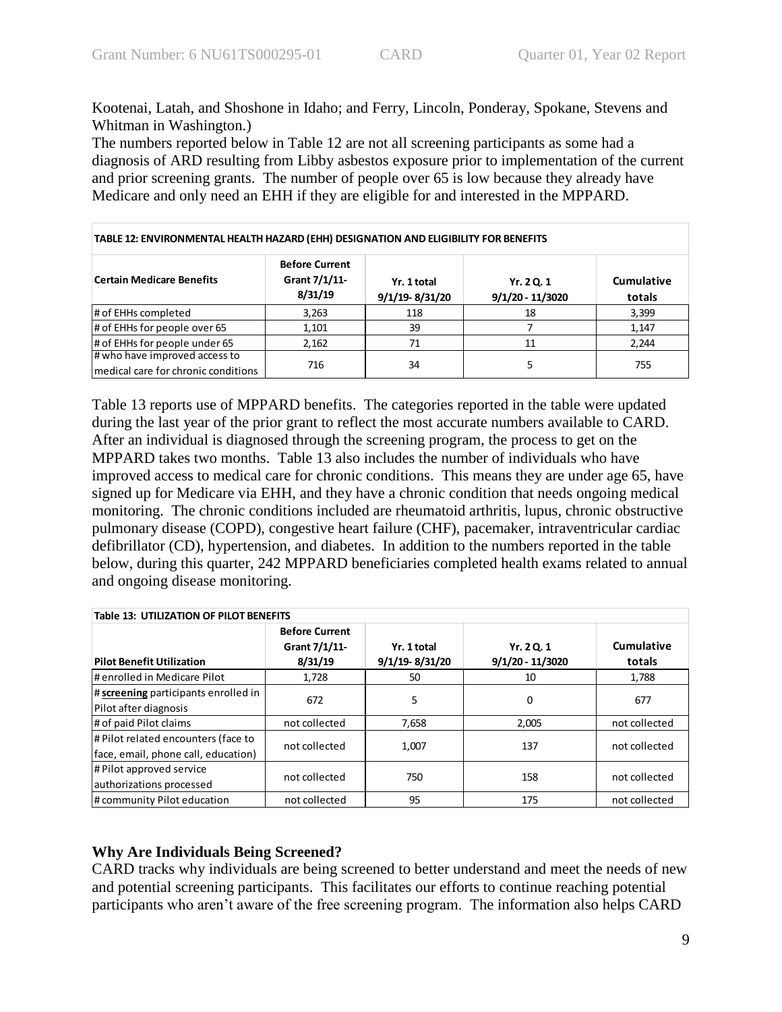Kootenai, Latah, and Shoshone in Idaho; and Ferry, Lincoln, Ponderay, Spokane, Stevens and Whitman in Washington.)

The numbers reported below in Table 12 are not all screening participants as some had a diagnosis of ARD resulting from Libby asbestos exposure prior to implementation of the current and prior screening grants. The number of people over 65 is low because they already have Medicare and only need an EHH if they are eligible for and interested in the MPPARD.

| TABLE 12: ENVIRONMENTAL HEALTH HAZARD (EHH) DESIGNATION AND ELIGIBILITY FOR BENEFITS |                                                   |                                   |                                  |                             |  |  |
|--------------------------------------------------------------------------------------|---------------------------------------------------|-----------------------------------|----------------------------------|-----------------------------|--|--|
| <b>Certain Medicare Benefits</b>                                                     | <b>Before Current</b><br>Grant 7/1/11-<br>8/31/19 | Yr. 1 total<br>$9/1/19 - 8/31/20$ | Yr. 2 Q. 1<br>$9/1/20 - 11/3020$ | <b>Cumulative</b><br>totals |  |  |
| # of EHHs completed                                                                  | 3,263                                             | 118                               | 18                               | 3,399                       |  |  |
| # of EHHs for people over 65                                                         | 1,101                                             | 39                                |                                  | 1.147                       |  |  |
| # of EHHs for people under 65                                                        | 2,162                                             | 71                                | 11                               | 2.244                       |  |  |
| # who have improved access to<br>medical care for chronic conditions                 | 716                                               | 34                                | 5                                | 755                         |  |  |

Table 13 reports use of MPPARD benefits. The categories reported in the table were updated during the last year of the prior grant to reflect the most accurate numbers available to CARD. After an individual is diagnosed through the screening program, the process to get on the MPPARD takes two months. Table 13 also includes the number of individuals who have improved access to medical care for chronic conditions. This means they are under age 65, have signed up for Medicare via EHH, and they have a chronic condition that needs ongoing medical monitoring. The chronic conditions included are rheumatoid arthritis, lupus, chronic obstructive pulmonary disease (COPD), congestive heart failure (CHF), pacemaker, intraventricular cardiac defibrillator (CD), hypertension, and diabetes. In addition to the numbers reported in the table below, during this quarter, 242 MPPARD beneficiaries completed health exams related to annual and ongoing disease monitoring.

| <b>Table 13: UTILIZATION OF PILOT BENEFITS</b>                             |                                                   |                               |                                |                      |  |
|----------------------------------------------------------------------------|---------------------------------------------------|-------------------------------|--------------------------------|----------------------|--|
| <b>Pilot Benefit Utilization</b>                                           | <b>Before Current</b><br>Grant 7/1/11-<br>8/31/19 | Yr. 1 total<br>9/1/19-8/31/20 | Yr. 20.1<br>$9/1/20 - 11/3020$ | Cumulative<br>totals |  |
| # enrolled in Medicare Pilot                                               | 1,728                                             | 50                            | 10                             | 1,788                |  |
| # screening participants enrolled in<br>Pilot after diagnosis              | 672                                               | 5                             | 0                              | 677                  |  |
| # of paid Pilot claims                                                     | not collected                                     | 7,658                         | 2,005                          | not collected        |  |
| # Pilot related encounters (face to<br>face, email, phone call, education) | not collected                                     | 1,007                         | 137                            | not collected        |  |
| # Pilot approved service<br>authorizations processed                       | not collected                                     | 750                           | 158                            | not collected        |  |
| # community Pilot education                                                | not collected                                     | 95                            | 175                            | not collected        |  |

# **Why Are Individuals Being Screened?**

CARD tracks why individuals are being screened to better understand and meet the needs of new and potential screening participants. This facilitates our efforts to continue reaching potential participants who aren't aware of the free screening program. The information also helps CARD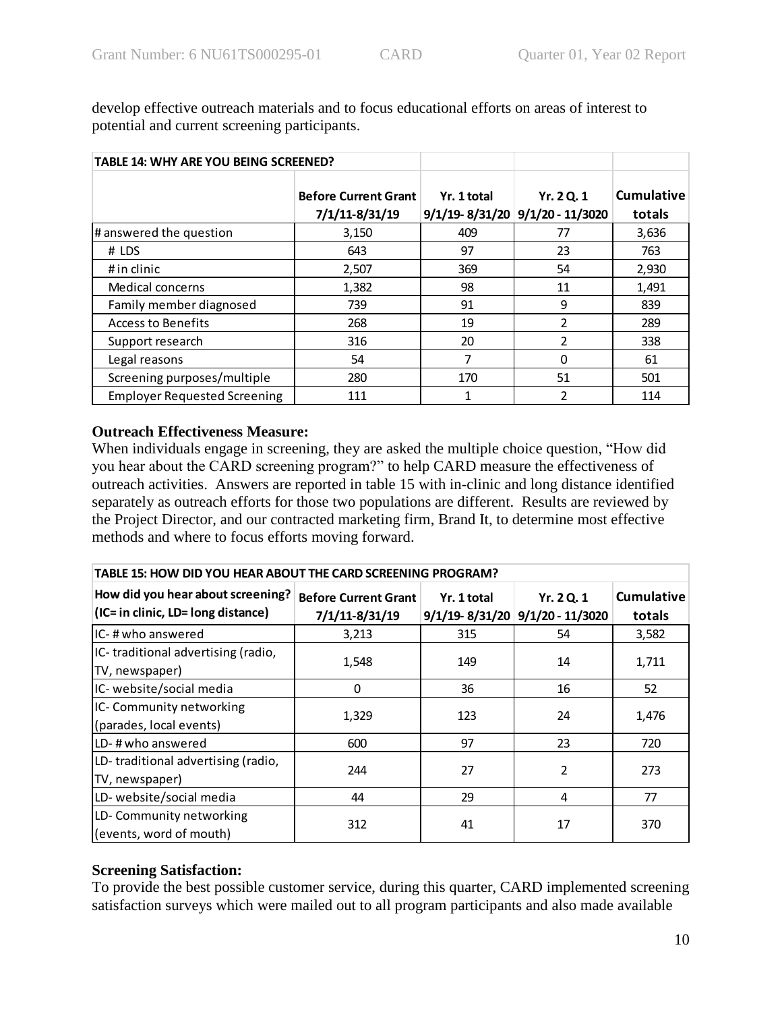| TABLE 14: WHY ARE YOU BEING SCREENED? |                                               |             |                                                     |                             |
|---------------------------------------|-----------------------------------------------|-------------|-----------------------------------------------------|-----------------------------|
|                                       | <b>Before Current Grant</b><br>7/1/11-8/31/19 | Yr. 1 total | Yr. 2 Q. 1<br>$9/1/19 - 8/31/20$ $9/1/20 - 11/3020$ | <b>Cumulative</b><br>totals |
| # answered the question               | 3,150                                         | 409         | 77                                                  | 3,636                       |
| # LDS                                 | 643                                           | 97          | 23                                                  | 763                         |
| # in clinic                           | 2,507                                         | 369         | 54                                                  | 2,930                       |
| Medical concerns                      | 1,382                                         | 98          | 11                                                  | 1,491                       |
| Family member diagnosed               | 739                                           | 91          | 9                                                   | 839                         |
| Access to Benefits                    | 268                                           | 19          | $\mathfrak z$                                       | 289                         |
| Support research                      | 316                                           | 20          | $\mathfrak z$                                       | 338                         |
| Legal reasons                         | 54                                            | 7           | 0                                                   | 61                          |
| Screening purposes/multiple           | 280                                           | 170         | 51                                                  | 501                         |
| <b>Employer Requested Screening</b>   | 111                                           |             | 2                                                   | 114                         |

develop effective outreach materials and to focus educational efforts on areas of interest to potential and current screening participants.

## **Outreach Effectiveness Measure:**

When individuals engage in screening, they are asked the multiple choice question, "How did you hear about the CARD screening program?" to help CARD measure the effectiveness of outreach activities. Answers are reported in table 15 with in-clinic and long distance identified separately as outreach efforts for those two populations are different. Results are reviewed by the Project Director, and our contracted marketing firm, Brand It, to determine most effective methods and where to focus efforts moving forward.

| TABLE 15: HOW DID YOU HEAR ABOUT THE CARD SCREENING PROGRAM?            |                                               |             |                                                     |                             |  |  |
|-------------------------------------------------------------------------|-----------------------------------------------|-------------|-----------------------------------------------------|-----------------------------|--|--|
| How did you hear about screening?<br>(IC= in clinic, LD= long distance) | <b>Before Current Grant</b><br>7/1/11-8/31/19 | Yr. 1 total | Yr. 2 Q. 1<br>$9/1/19 - 8/31/20$ $9/1/20 - 11/3020$ | <b>Cumulative</b><br>totals |  |  |
| IIC- # who answered                                                     | 3,213                                         | 315         | 54                                                  | 3,582                       |  |  |
| IC-traditional advertising (radio,<br>TV, newspaper)                    | 1,548                                         | 149         | 14                                                  | 1,711                       |  |  |
| IC-website/social media                                                 | 0                                             | 36          | 16                                                  | 52                          |  |  |
| IC-Community networking<br>(parades, local events)                      | 1,329                                         | 123         | 24                                                  | 1,476                       |  |  |
| LD-#who answered                                                        | 600                                           | 97          | 23                                                  | 720                         |  |  |
| LD-traditional advertising (radio,<br>TV, newspaper)                    | 244                                           | 27          | 2                                                   | 273                         |  |  |
| LD- website/social media                                                | 44                                            | 29          | 4                                                   | 77                          |  |  |
| LD-Community networking<br>(events, word of mouth)                      | 312                                           | 41          | 17                                                  | 370                         |  |  |

# **Screening Satisfaction:**

To provide the best possible customer service, during this quarter, CARD implemented screening satisfaction surveys which were mailed out to all program participants and also made available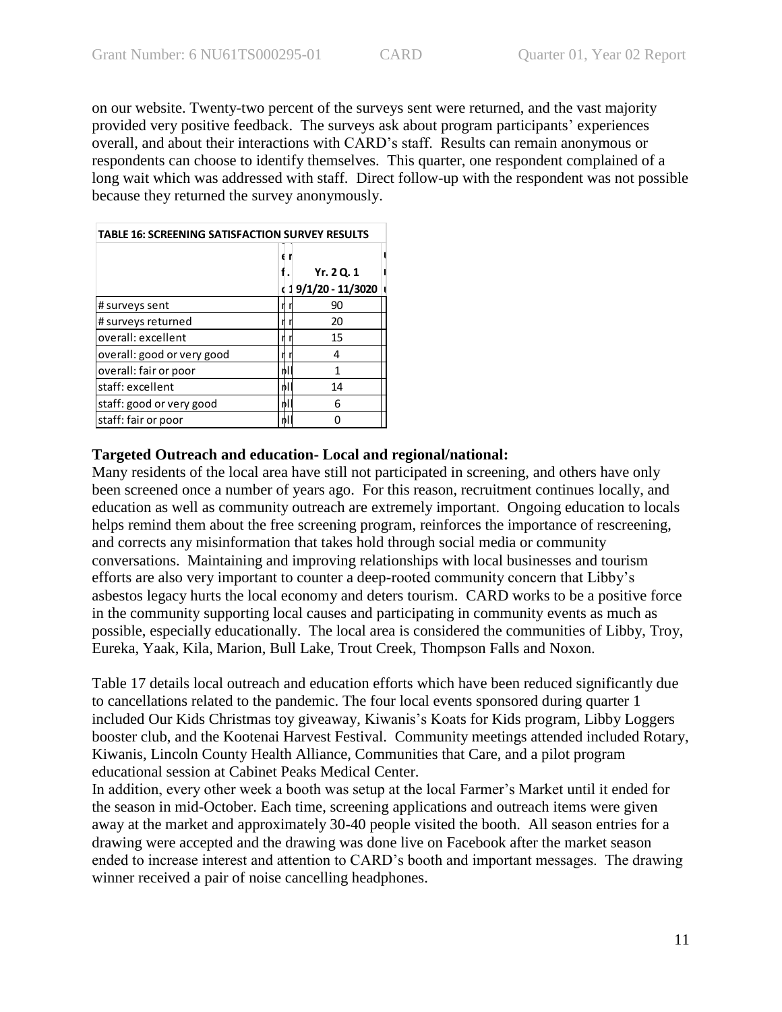on our website. Twenty-two percent of the surveys sent were returned, and the vast majority provided very positive feedback. The surveys ask about program participants' experiences overall, and about their interactions with CARD's staff. Results can remain anonymous or respondents can choose to identify themselves. This quarter, one respondent complained of a long wait which was addressed with staff. Direct follow-up with the respondent was not possible because they returned the survey anonymously.

| <b>TABLE 16: SCREENING SATISFACTION SURVEY RESULTS</b> |                                      |  |  |  |
|--------------------------------------------------------|--------------------------------------|--|--|--|
|                                                        | Yr. 2 Q. 1<br>(19/1/20 - 11/3020   1 |  |  |  |
| # surveys sent                                         | 90                                   |  |  |  |
| # surveys returned                                     | 20                                   |  |  |  |
| overall: excellent                                     | 15                                   |  |  |  |
| overall: good or very good                             | 4                                    |  |  |  |
| overall: fair or poor                                  | 1                                    |  |  |  |
| staff: excellent                                       | 14                                   |  |  |  |
| staff: good or very good                               | 6                                    |  |  |  |
| staff: fair or poor                                    |                                      |  |  |  |

## **Targeted Outreach and education- Local and regional/national:**

Many residents of the local area have still not participated in screening, and others have only been screened once a number of years ago. For this reason, recruitment continues locally, and education as well as community outreach are extremely important. Ongoing education to locals helps remind them about the free screening program, reinforces the importance of rescreening, and corrects any misinformation that takes hold through social media or community conversations. Maintaining and improving relationships with local businesses and tourism efforts are also very important to counter a deep-rooted community concern that Libby's asbestos legacy hurts the local economy and deters tourism. CARD works to be a positive force in the community supporting local causes and participating in community events as much as possible, especially educationally. The local area is considered the communities of Libby, Troy, Eureka, Yaak, Kila, Marion, Bull Lake, Trout Creek, Thompson Falls and Noxon.

Table 17 details local outreach and education efforts which have been reduced significantly due to cancellations related to the pandemic. The four local events sponsored during quarter 1 included Our Kids Christmas toy giveaway, Kiwanis's Koats for Kids program, Libby Loggers booster club, and the Kootenai Harvest Festival. Community meetings attended included Rotary, Kiwanis, Lincoln County Health Alliance, Communities that Care, and a pilot program educational session at Cabinet Peaks Medical Center.

In addition, every other week a booth was setup at the local Farmer's Market until it ended for the season in mid-October. Each time, screening applications and outreach items were given away at the market and approximately 30-40 people visited the booth. All season entries for a drawing were accepted and the drawing was done live on Facebook after the market season ended to increase interest and attention to CARD's booth and important messages. The drawing winner received a pair of noise cancelling headphones.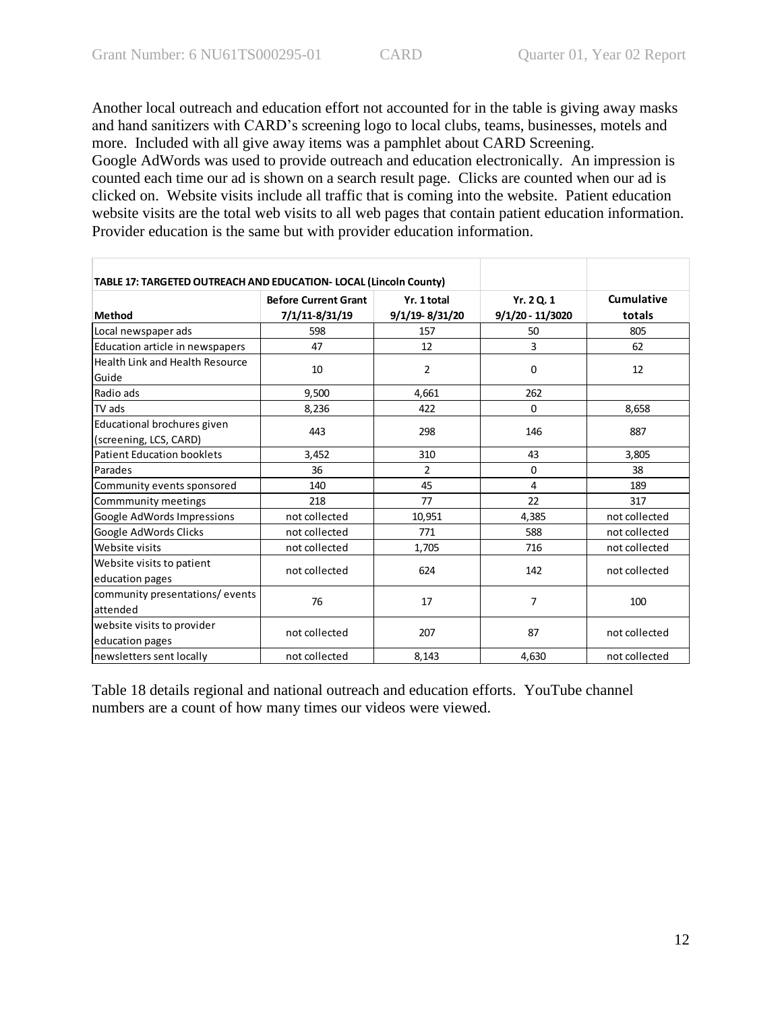Another local outreach and education effort not accounted for in the table is giving away masks and hand sanitizers with CARD's screening logo to local clubs, teams, businesses, motels and more. Included with all give away items was a pamphlet about CARD Screening. Google AdWords was used to provide outreach and education electronically. An impression is counted each time our ad is shown on a search result page. Clicks are counted when our ad is clicked on. Website visits include all traffic that is coming into the website. Patient education website visits are the total web visits to all web pages that contain patient education information. Provider education is the same but with provider education information.

| TABLE 17: TARGETED OUTREACH AND EDUCATION- LOCAL (Lincoln County) |                             |                |                    |               |
|-------------------------------------------------------------------|-----------------------------|----------------|--------------------|---------------|
|                                                                   | <b>Before Current Grant</b> | Yr. 1 total    | Yr. 20.1           | Cumulative    |
| Method                                                            | 7/1/11-8/31/19              | 9/1/19-8/31/20 | $9/1/20 - 11/3020$ | totals        |
| Local newspaper ads                                               | 598                         | 157            | 50                 | 805           |
| Education article in newspapers                                   | 47                          | 12             | 3                  | 62            |
| <b>Health Link and Health Resource</b><br>Guide                   | 10                          | 2              | 0                  | 12            |
| Radio ads                                                         | 9,500                       | 4,661          | 262                |               |
| TV ads                                                            | 8,236                       | 422            | $\Omega$           | 8,658         |
| Educational brochures given<br>(screening, LCS, CARD)             | 443                         | 298            | 146                | 887           |
| <b>Patient Education booklets</b>                                 | 3,452                       | 310            | 43                 | 3,805         |
| Parades                                                           | 36                          | $\overline{2}$ | 0                  | 38            |
| Community events sponsored                                        | 140                         | 45             | 4                  | 189           |
| Commmunity meetings                                               | 218                         | 77             | 22                 | 317           |
| Google AdWords Impressions                                        | not collected               | 10,951         | 4,385              | not collected |
| Google AdWords Clicks                                             | not collected               | 771            | 588                | not collected |
| Website visits                                                    | not collected               | 1,705          | 716                | not collected |
| Website visits to patient<br>education pages                      | not collected               | 624            | 142                | not collected |
| community presentations/events<br>attended                        | 76                          | 17             | 7                  | 100           |
| website visits to provider<br>education pages                     | not collected               | 207            | 87                 | not collected |
| newsletters sent locally                                          | not collected               | 8,143          | 4,630              | not collected |

Table 18 details regional and national outreach and education efforts. YouTube channel numbers are a count of how many times our videos were viewed.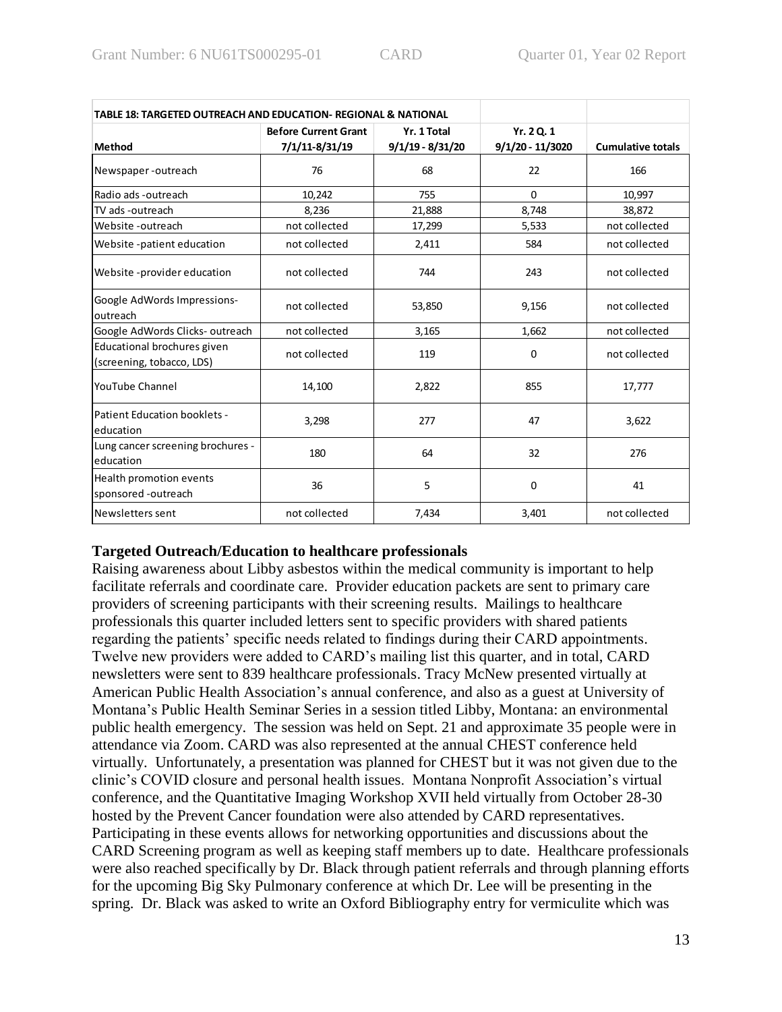| TABLE 18: TARGETED OUTREACH AND EDUCATION- REGIONAL & NATIONAL |                             |                    |                    |                          |
|----------------------------------------------------------------|-----------------------------|--------------------|--------------------|--------------------------|
|                                                                | <b>Before Current Grant</b> | Yr. 1 Total        | Yr. 2 Q. 1         |                          |
| <b>Method</b>                                                  | 7/1/11-8/31/19              | $9/1/19 - 8/31/20$ | $9/1/20 - 11/3020$ | <b>Cumulative totals</b> |
| Newspaper-outreach                                             | 76                          | 68                 | 22                 | 166                      |
| Radio ads -outreach                                            | 10,242                      | 755                | $\Omega$           | 10,997                   |
| TV ads -outreach                                               | 8,236                       | 21,888             | 8,748              | 38,872                   |
| Website -outreach                                              | not collected               | 17,299             | 5,533              | not collected            |
| Website -patient education                                     | not collected               | 2,411              | 584                | not collected            |
| Website-provider education                                     | not collected               | 744                | 243                | not collected            |
| Google AdWords Impressions-<br>outreach                        | not collected               | 53,850             | 9,156              | not collected            |
| Google AdWords Clicks-outreach                                 | not collected               | 3,165              | 1,662              | not collected            |
| Educational brochures given<br>(screening, tobacco, LDS)       | not collected               | 119                | 0                  | not collected            |
| YouTube Channel                                                | 14,100                      | 2,822              | 855                | 17,777                   |
| Patient Education booklets -<br>education                      | 3,298                       | 277                | 47                 | 3,622                    |
| Lung cancer screening brochures -<br>education                 | 180                         | 64                 | 32                 | 276                      |
| Health promotion events<br>sponsored -outreach                 | 36                          | 5                  | 0                  | 41                       |
| Newsletters sent                                               | not collected               | 7,434              | 3,401              | not collected            |

# **Targeted Outreach/Education to healthcare professionals**

Raising awareness about Libby asbestos within the medical community is important to help facilitate referrals and coordinate care. Provider education packets are sent to primary care providers of screening participants with their screening results. Mailings to healthcare professionals this quarter included letters sent to specific providers with shared patients regarding the patients' specific needs related to findings during their CARD appointments. Twelve new providers were added to CARD's mailing list this quarter, and in total, CARD newsletters were sent to 839 healthcare professionals. Tracy McNew presented virtually at American Public Health Association's annual conference, and also as a guest at University of Montana's Public Health Seminar Series in a session titled Libby, Montana: an environmental public health emergency. The session was held on Sept. 21 and approximate 35 people were in attendance via Zoom. CARD was also represented at the annual CHEST conference held virtually. Unfortunately, a presentation was planned for CHEST but it was not given due to the clinic's COVID closure and personal health issues. Montana Nonprofit Association's virtual conference, and the Quantitative Imaging Workshop XVII held virtually from October 28-30 hosted by the Prevent Cancer foundation were also attended by CARD representatives. Participating in these events allows for networking opportunities and discussions about the CARD Screening program as well as keeping staff members up to date. Healthcare professionals were also reached specifically by Dr. Black through patient referrals and through planning efforts for the upcoming Big Sky Pulmonary conference at which Dr. Lee will be presenting in the spring. Dr. Black was asked to write an Oxford Bibliography entry for vermiculite which was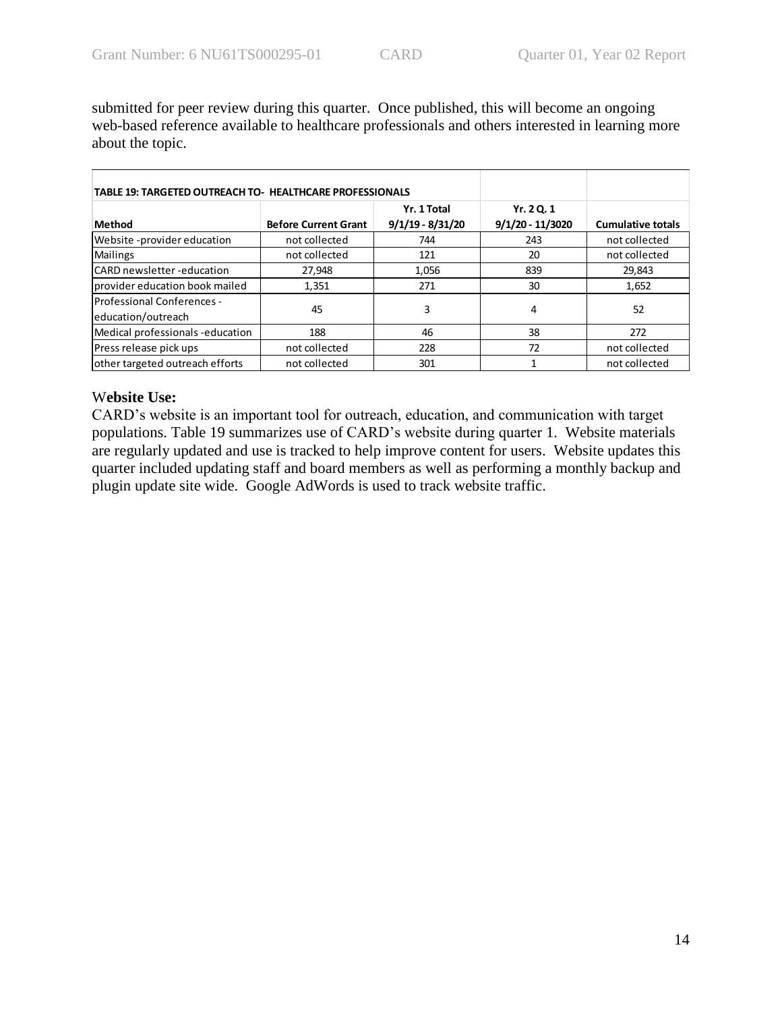submitted for peer review during this quarter. Once published, this will become an ongoing web-based reference available to healthcare professionals and others interested in learning more about the topic.

| <b>TABLE 19: TARGETED OUTREACH TO- HEALTHCARE PROFESSIONALS</b> |                             |                                   |                              |                          |
|-----------------------------------------------------------------|-----------------------------|-----------------------------------|------------------------------|--------------------------|
| Method                                                          | <b>Before Current Grant</b> | Yr. 1 Total<br>$9/1/19 - 8/31/20$ | Yr. 20.1<br>9/1/20 - 11/3020 | <b>Cumulative totals</b> |
| Website -provider education                                     | not collected               | 744                               | 243                          | not collected            |
| <b>Mailings</b>                                                 | not collected               | 121                               | 20                           | not collected            |
| <b>CARD</b> newsletter -education                               | 27,948                      | 1,056                             | 839                          | 29.843                   |
| provider education book mailed                                  | 1,351                       | 271                               | 30                           | 1,652                    |
| Professional Conferences -<br>education/outreach                | 45                          | 3                                 | 4                            | 52                       |
| Medical professionals-education                                 | 188                         | 46                                | 38                           | 272                      |
| Press release pick ups                                          | not collected               | 228                               | 72                           | not collected            |
| other targeted outreach efforts                                 | not collected               | 301                               |                              | not collected            |

# W**ebsite Use:**

CARD's website is an important tool for outreach, education, and communication with target populations. Table 19 summarizes use of CARD's website during quarter 1. Website materials are regularly updated and use is tracked to help improve content for users. Website updates this quarter included updating staff and board members as well as performing a monthly backup and plugin update site wide. Google AdWords is used to track website traffic.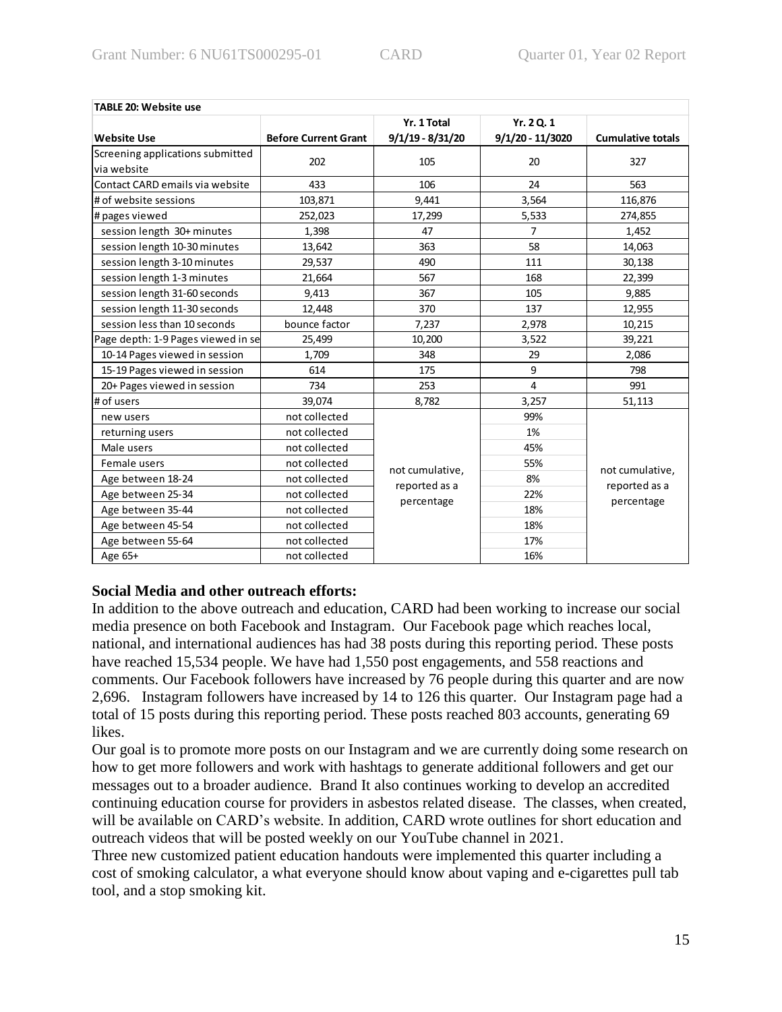| <b>TABLE 20: Website use</b>       |                             |                             |                    |                          |  |
|------------------------------------|-----------------------------|-----------------------------|--------------------|--------------------------|--|
|                                    |                             | Yr. 1 Total                 | Yr. 2 Q. 1         |                          |  |
| <b>Website Use</b>                 | <b>Before Current Grant</b> | $9/1/19 - 8/31/20$          | $9/1/20 - 11/3020$ | <b>Cumulative totals</b> |  |
| Screening applications submitted   | 202                         | 105                         | 20                 | 327                      |  |
| via website                        |                             |                             |                    |                          |  |
| Contact CARD emails via website    | 433                         | 106                         | 24                 | 563                      |  |
| # of website sessions              | 103,871                     | 9,441                       | 3,564              | 116,876                  |  |
| # pages viewed                     | 252,023                     | 17,299                      | 5,533              | 274,855                  |  |
| session length 30+ minutes         | 1,398                       | 47                          | 7                  | 1,452                    |  |
| session length 10-30 minutes       | 13,642                      | 363                         | 58                 | 14,063                   |  |
| session length 3-10 minutes        | 29,537                      | 490                         | 111                | 30,138                   |  |
| session length 1-3 minutes         | 21,664                      | 567                         | 168                | 22,399                   |  |
| session length 31-60 seconds       | 9,413                       | 367                         | 105                | 9,885                    |  |
| session length 11-30 seconds       | 12,448                      | 370                         | 137                | 12,955                   |  |
| session less than 10 seconds       | bounce factor               | 7,237                       | 2,978              | 10,215                   |  |
| Page depth: 1-9 Pages viewed in se | 25,499                      | 10,200                      | 3,522              | 39,221                   |  |
| 10-14 Pages viewed in session      | 1,709                       | 348                         | 29                 | 2,086                    |  |
| 15-19 Pages viewed in session      | 614                         | 175                         | 9                  | 798                      |  |
| 20+ Pages viewed in session        | 734                         | 253                         | 4                  | 991                      |  |
| # of users                         | 39,074                      | 8,782                       | 3,257              | 51,113                   |  |
| new users                          | not collected               |                             | 99%                |                          |  |
| returning users                    | not collected               |                             | 1%                 |                          |  |
| Male users                         | not collected               |                             | 45%                |                          |  |
| Female users                       | not collected               | not cumulative,             | 55%                | not cumulative,          |  |
| Age between 18-24                  | not collected               |                             | 8%                 | reported as a            |  |
| Age between 25-34                  | not collected               | reported as a<br>percentage | 22%                | percentage               |  |
| Age between 35-44                  | not collected               |                             | 18%                |                          |  |
| Age between 45-54                  | not collected               |                             | 18%                |                          |  |
| Age between 55-64                  | not collected               |                             | 17%                |                          |  |
| Age 65+                            | not collected               |                             | 16%                |                          |  |

# **Social Media and other outreach efforts:**

In addition to the above outreach and education, CARD had been working to increase our social media presence on both Facebook and Instagram. Our Facebook page which reaches local, national, and international audiences has had 38 posts during this reporting period. These posts have reached 15,534 people. We have had 1,550 post engagements, and 558 reactions and comments. Our Facebook followers have increased by 76 people during this quarter and are now 2,696. Instagram followers have increased by 14 to 126 this quarter. Our Instagram page had a total of 15 posts during this reporting period. These posts reached 803 accounts, generating 69 likes.

Our goal is to promote more posts on our Instagram and we are currently doing some research on how to get more followers and work with hashtags to generate additional followers and get our messages out to a broader audience. Brand It also continues working to develop an accredited continuing education course for providers in asbestos related disease. The classes, when created, will be available on CARD's website. In addition, CARD wrote outlines for short education and outreach videos that will be posted weekly on our YouTube channel in 2021.

Three new customized patient education handouts were implemented this quarter including a cost of smoking calculator, a what everyone should know about vaping and e-cigarettes pull tab tool, and a stop smoking kit.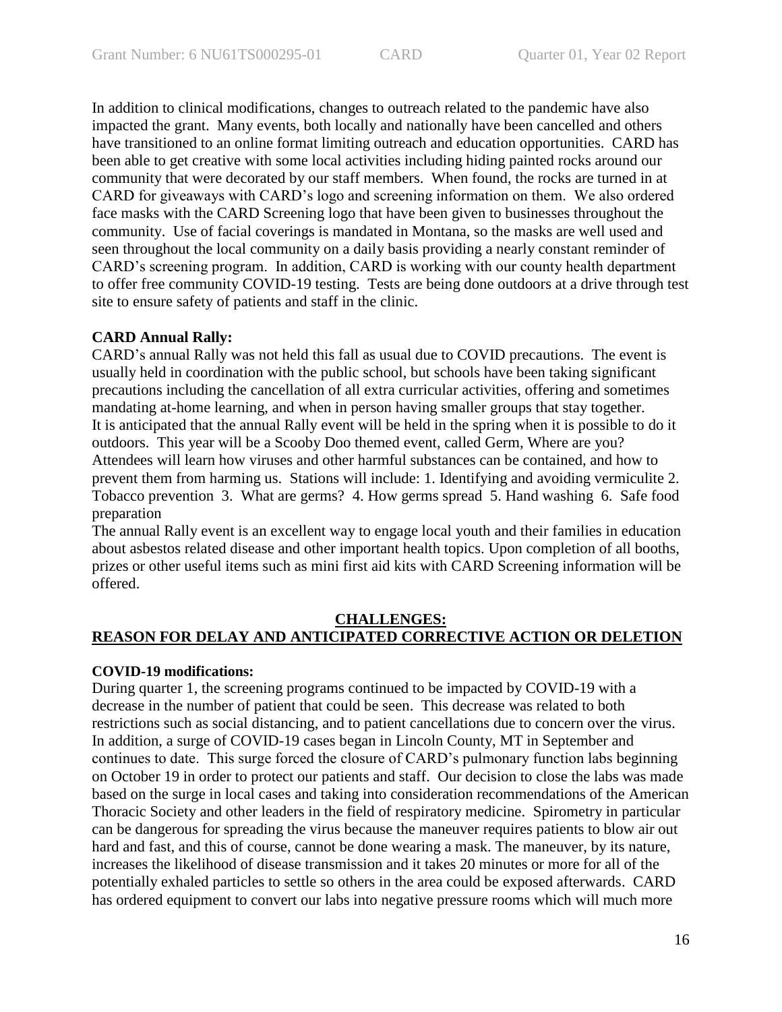In addition to clinical modifications, changes to outreach related to the pandemic have also impacted the grant. Many events, both locally and nationally have been cancelled and others have transitioned to an online format limiting outreach and education opportunities. CARD has been able to get creative with some local activities including hiding painted rocks around our community that were decorated by our staff members. When found, the rocks are turned in at CARD for giveaways with CARD's logo and screening information on them. We also ordered face masks with the CARD Screening logo that have been given to businesses throughout the community. Use of facial coverings is mandated in Montana, so the masks are well used and seen throughout the local community on a daily basis providing a nearly constant reminder of CARD's screening program. In addition, CARD is working with our county health department to offer free community COVID-19 testing. Tests are being done outdoors at a drive through test site to ensure safety of patients and staff in the clinic.

# **CARD Annual Rally:**

CARD's annual Rally was not held this fall as usual due to COVID precautions. The event is usually held in coordination with the public school, but schools have been taking significant precautions including the cancellation of all extra curricular activities, offering and sometimes mandating at-home learning, and when in person having smaller groups that stay together. It is anticipated that the annual Rally event will be held in the spring when it is possible to do it outdoors. This year will be a Scooby Doo themed event, called Germ, Where are you? Attendees will learn how viruses and other harmful substances can be contained, and how to prevent them from harming us. Stations will include: 1. Identifying and avoiding vermiculite 2. Tobacco prevention 3. What are germs? 4. How germs spread 5. Hand washing 6. Safe food preparation

The annual Rally event is an excellent way to engage local youth and their families in education about asbestos related disease and other important health topics. Upon completion of all booths, prizes or other useful items such as mini first aid kits with CARD Screening information will be offered.

## **CHALLENGES: REASON FOR DELAY AND ANTICIPATED CORRECTIVE ACTION OR DELETION**

# **COVID-19 modifications:**

During quarter 1, the screening programs continued to be impacted by COVID-19 with a decrease in the number of patient that could be seen. This decrease was related to both restrictions such as social distancing, and to patient cancellations due to concern over the virus. In addition, a surge of COVID-19 cases began in Lincoln County, MT in September and continues to date. This surge forced the closure of CARD's pulmonary function labs beginning on October 19 in order to protect our patients and staff. Our decision to close the labs was made based on the surge in local cases and taking into consideration recommendations of the American Thoracic Society and other leaders in the field of respiratory medicine. Spirometry in particular can be dangerous for spreading the virus because the maneuver requires patients to blow air out hard and fast, and this of course, cannot be done wearing a mask. The maneuver, by its nature, increases the likelihood of disease transmission and it takes 20 minutes or more for all of the potentially exhaled particles to settle so others in the area could be exposed afterwards. CARD has ordered equipment to convert our labs into negative pressure rooms which will much more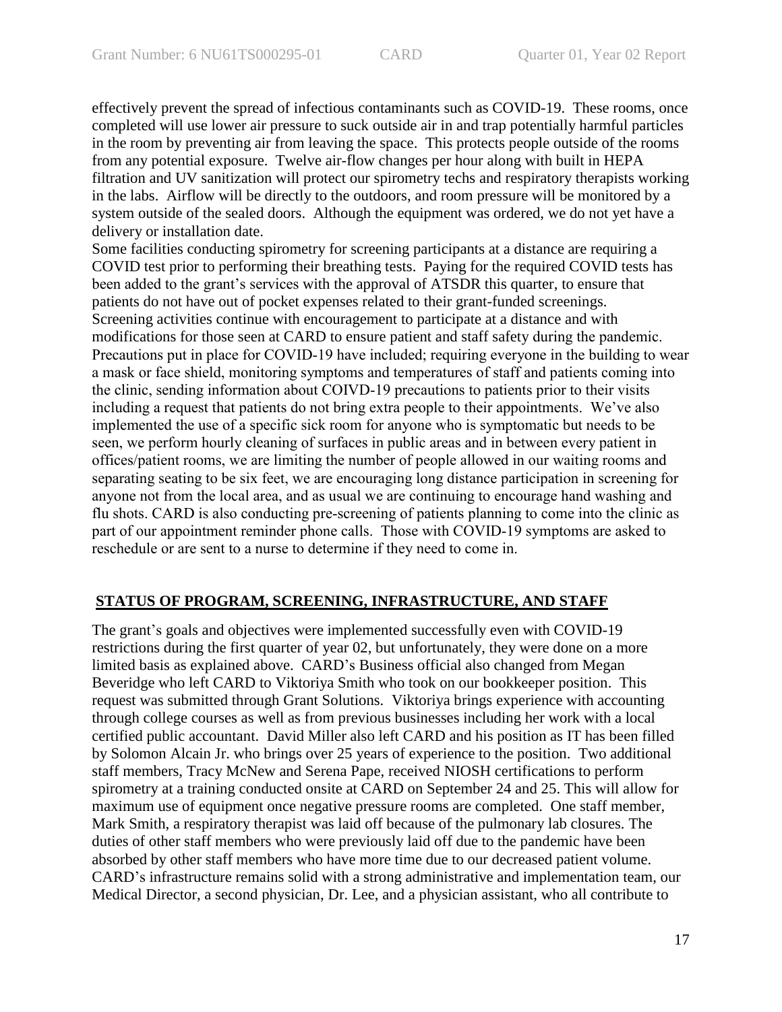effectively prevent the spread of infectious contaminants such as COVID-19. These rooms, once completed will use lower air pressure to suck outside air in and trap potentially harmful particles in the room by preventing air from leaving the space. This protects people outside of the rooms from any potential exposure. Twelve air-flow changes per hour along with built in HEPA filtration and UV sanitization will protect our spirometry techs and respiratory therapists working in the labs. Airflow will be directly to the outdoors, and room pressure will be monitored by a system outside of the sealed doors. Although the equipment was ordered, we do not yet have a delivery or installation date.

Some facilities conducting spirometry for screening participants at a distance are requiring a COVID test prior to performing their breathing tests. Paying for the required COVID tests has been added to the grant's services with the approval of ATSDR this quarter, to ensure that patients do not have out of pocket expenses related to their grant-funded screenings. Screening activities continue with encouragement to participate at a distance and with modifications for those seen at CARD to ensure patient and staff safety during the pandemic. Precautions put in place for COVID-19 have included; requiring everyone in the building to wear a mask or face shield, monitoring symptoms and temperatures of staff and patients coming into the clinic, sending information about COIVD-19 precautions to patients prior to their visits including a request that patients do not bring extra people to their appointments. We've also implemented the use of a specific sick room for anyone who is symptomatic but needs to be seen, we perform hourly cleaning of surfaces in public areas and in between every patient in offices/patient rooms, we are limiting the number of people allowed in our waiting rooms and separating seating to be six feet, we are encouraging long distance participation in screening for anyone not from the local area, and as usual we are continuing to encourage hand washing and flu shots. CARD is also conducting pre-screening of patients planning to come into the clinic as part of our appointment reminder phone calls. Those with COVID-19 symptoms are asked to reschedule or are sent to a nurse to determine if they need to come in.

## **STATUS OF PROGRAM, SCREENING, INFRASTRUCTURE, AND STAFF**

The grant's goals and objectives were implemented successfully even with COVID-19 restrictions during the first quarter of year 02, but unfortunately, they were done on a more limited basis as explained above. CARD's Business official also changed from Megan Beveridge who left CARD to Viktoriya Smith who took on our bookkeeper position. This request was submitted through Grant Solutions. Viktoriya brings experience with accounting through college courses as well as from previous businesses including her work with a local certified public accountant. David Miller also left CARD and his position as IT has been filled by Solomon Alcain Jr. who brings over 25 years of experience to the position. Two additional staff members, Tracy McNew and Serena Pape, received NIOSH certifications to perform spirometry at a training conducted onsite at CARD on September 24 and 25. This will allow for maximum use of equipment once negative pressure rooms are completed. One staff member, Mark Smith, a respiratory therapist was laid off because of the pulmonary lab closures. The duties of other staff members who were previously laid off due to the pandemic have been absorbed by other staff members who have more time due to our decreased patient volume. CARD's infrastructure remains solid with a strong administrative and implementation team, our Medical Director, a second physician, Dr. Lee, and a physician assistant, who all contribute to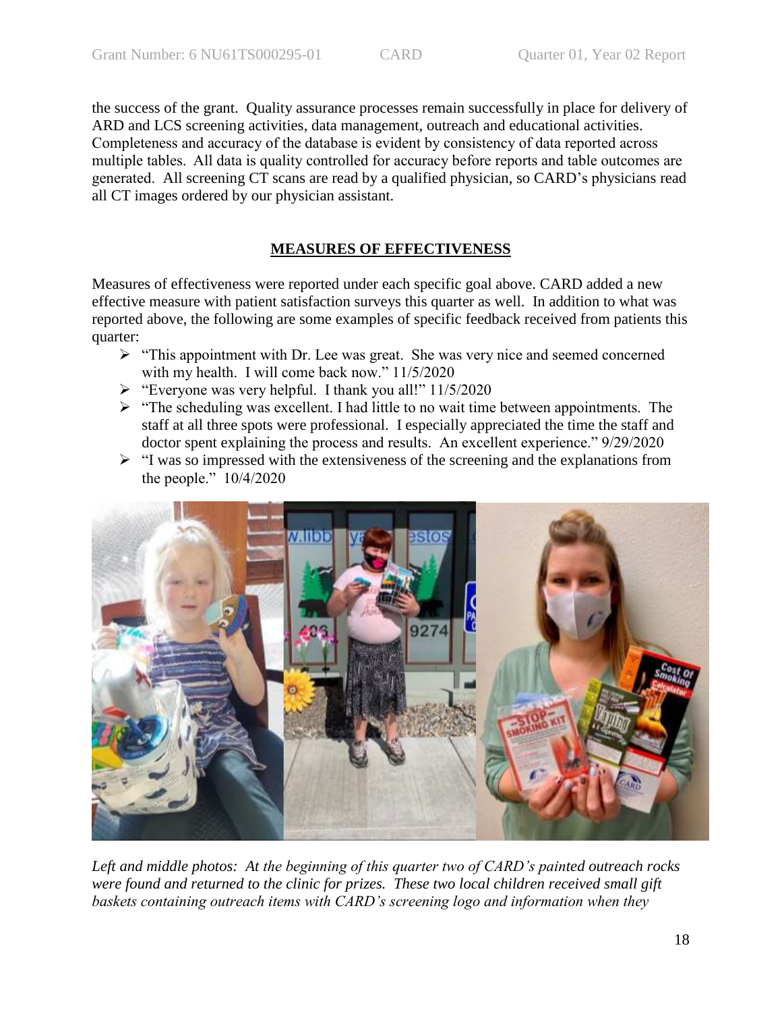the success of the grant. Quality assurance processes remain successfully in place for delivery of ARD and LCS screening activities, data management, outreach and educational activities. Completeness and accuracy of the database is evident by consistency of data reported across multiple tables. All data is quality controlled for accuracy before reports and table outcomes are generated. All screening CT scans are read by a qualified physician, so CARD's physicians read all CT images ordered by our physician assistant.

# **MEASURES OF EFFECTIVENESS**

Measures of effectiveness were reported under each specific goal above. CARD added a new effective measure with patient satisfaction surveys this quarter as well. In addition to what was reported above, the following are some examples of specific feedback received from patients this quarter:

- $\triangleright$  "This appointment with Dr. Lee was great. She was very nice and seemed concerned with my health. I will come back now." 11/5/2020
- $\triangleright$  "Everyone was very helpful. I thank you all!" 11/5/2020
- $\triangleright$  "The scheduling was excellent. I had little to no wait time between appointments. The staff at all three spots were professional. I especially appreciated the time the staff and doctor spent explaining the process and results. An excellent experience." 9/29/2020
- $\triangleright$  "I was so impressed with the extensiveness of the screening and the explanations from the people." 10/4/2020



*Left and middle photos: At the beginning of this quarter two of CARD's painted outreach rocks were found and returned to the clinic for prizes. These two local children received small gift baskets containing outreach items with CARD's screening logo and information when they*